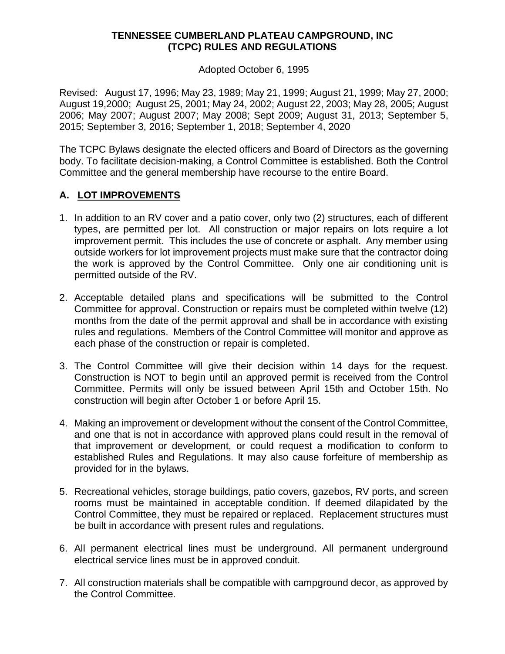### **TENNESSEE CUMBERLAND PLATEAU CAMPGROUND, INC (TCPC) RULES AND REGULATIONS**

Adopted October 6, 1995

Revised: August 17, 1996; May 23, 1989; May 21, 1999; August 21, 1999; May 27, 2000; August 19,2000; August 25, 2001; May 24, 2002; August 22, 2003; May 28, 2005; August 2006; May 2007; August 2007; May 2008; Sept 2009; August 31, 2013; September 5, 2015; September 3, 2016; September 1, 2018; September 4, 2020

The TCPC Bylaws designate the elected officers and Board of Directors as the governing body. To facilitate decision-making, a Control Committee is established. Both the Control Committee and the general membership have recourse to the entire Board.

## **A. LOT IMPROVEMENTS**

- 1. In addition to an RV cover and a patio cover, only two (2) structures, each of different types, are permitted per lot. All construction or major repairs on lots require a lot improvement permit. This includes the use of concrete or asphalt. Any member using outside workers for lot improvement projects must make sure that the contractor doing the work is approved by the Control Committee. Only one air conditioning unit is permitted outside of the RV.
- 2. Acceptable detailed plans and specifications will be submitted to the Control Committee for approval. Construction or repairs must be completed within twelve (12) months from the date of the permit approval and shall be in accordance with existing rules and regulations. Members of the Control Committee will monitor and approve as each phase of the construction or repair is completed.
- 3. The Control Committee will give their decision within 14 days for the request. Construction is NOT to begin until an approved permit is received from the Control Committee. Permits will only be issued between April 15th and October 15th. No construction will begin after October 1 or before April 15.
- 4. Making an improvement or development without the consent of the Control Committee, and one that is not in accordance with approved plans could result in the removal of that improvement or development, or could request a modification to conform to established Rules and Regulations. It may also cause forfeiture of membership as provided for in the bylaws.
- 5. Recreational vehicles, storage buildings, patio covers, gazebos, RV ports, and screen rooms must be maintained in acceptable condition. If deemed dilapidated by the Control Committee, they must be repaired or replaced. Replacement structures must be built in accordance with present rules and regulations.
- 6. All permanent electrical lines must be underground. All permanent underground electrical service lines must be in approved conduit.
- 7. All construction materials shall be compatible with campground decor, as approved by the Control Committee.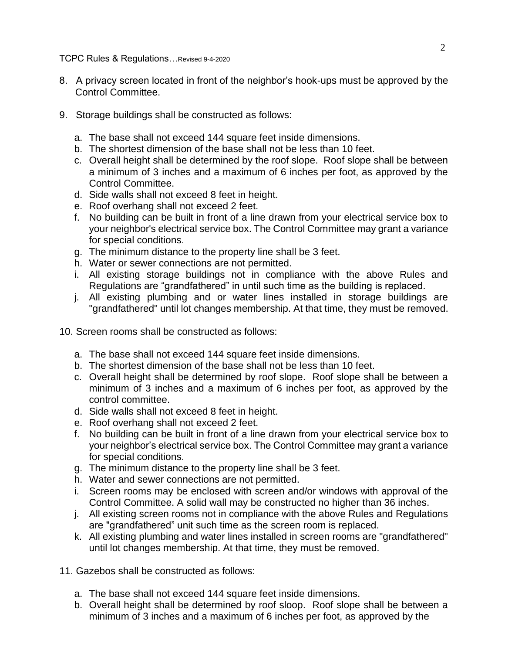- 8. A privacy screen located in front of the neighbor's hook-ups must be approved by the Control Committee.
- 9. Storage buildings shall be constructed as follows:
	- a. The base shall not exceed 144 square feet inside dimensions.
	- b. The shortest dimension of the base shall not be less than 10 feet.
	- c. Overall height shall be determined by the roof slope. Roof slope shall be between a minimum of 3 inches and a maximum of 6 inches per foot, as approved by the Control Committee.
	- d. Side walls shall not exceed 8 feet in height.
	- e. Roof overhang shall not exceed 2 feet.
	- f. No building can be built in front of a line drawn from your electrical service box to your neighbor's electrical service box. The Control Committee may grant a variance for special conditions.
	- g. The minimum distance to the property line shall be 3 feet.
	- h. Water or sewer connections are not permitted.
	- i. All existing storage buildings not in compliance with the above Rules and Regulations are "grandfathered" in until such time as the building is replaced.
	- j. All existing plumbing and or water lines installed in storage buildings are "grandfathered" until lot changes membership. At that time, they must be removed.
- 10. Screen rooms shall be constructed as follows:
	- a. The base shall not exceed 144 square feet inside dimensions.
	- b. The shortest dimension of the base shall not be less than 10 feet.
	- c. Overall height shall be determined by roof slope. Roof slope shall be between a minimum of 3 inches and a maximum of 6 inches per foot, as approved by the control committee.
	- d. Side walls shall not exceed 8 feet in height.
	- e. Roof overhang shall not exceed 2 feet.
	- f. No building can be built in front of a line drawn from your electrical service box to your neighbor's electrical service box. The Control Committee may grant a variance for special conditions.
	- g. The minimum distance to the property line shall be 3 feet.
	- h. Water and sewer connections are not permitted.
	- i. Screen rooms may be enclosed with screen and/or windows with approval of the Control Committee. A solid wall may be constructed no higher than 36 inches.
	- j. All existing screen rooms not in compliance with the above Rules and Regulations are "grandfathered" unit such time as the screen room is replaced.
	- k. All existing plumbing and water lines installed in screen rooms are "grandfathered" until lot changes membership. At that time, they must be removed.
- 11. Gazebos shall be constructed as follows:
	- a. The base shall not exceed 144 square feet inside dimensions.
	- b. Overall height shall be determined by roof sloop. Roof slope shall be between a minimum of 3 inches and a maximum of 6 inches per foot, as approved by the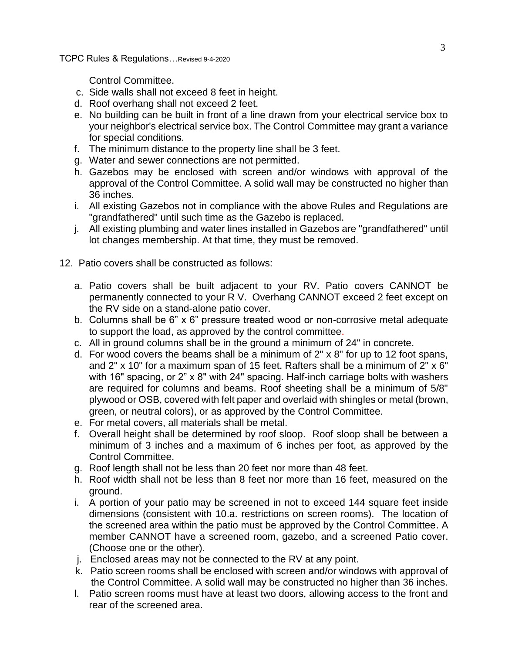Control Committee.

- c. Side walls shall not exceed 8 feet in height.
- d. Roof overhang shall not exceed 2 feet.
- e. No building can be built in front of a line drawn from your electrical service box to your neighbor's electrical service box. The Control Committee may grant a variance for special conditions.
- f. The minimum distance to the property line shall be 3 feet.
- g. Water and sewer connections are not permitted.
- h. Gazebos may be enclosed with screen and/or windows with approval of the approval of the Control Committee. A solid wall may be constructed no higher than 36 inches.
- i. All existing Gazebos not in compliance with the above Rules and Regulations are "grandfathered" until such time as the Gazebo is replaced.
- j. All existing plumbing and water lines installed in Gazebos are "grandfathered" until lot changes membership. At that time, they must be removed.
- 12. Patio covers shall be constructed as follows:
	- a. Patio covers shall be built adjacent to your RV. Patio covers CANNOT be permanently connected to your R V. Overhang CANNOT exceed 2 feet except on the RV side on a stand-alone patio cover.
	- b. Columns shall be 6" x 6" pressure treated wood or non-corrosive metal adequate to support the load, as approved by the control committee.
	- c. All in ground columns shall be in the ground a minimum of 24" in concrete.
	- d. For wood covers the beams shall be a minimum of  $2" \times 8"$  for up to 12 foot spans, and 2" x 10" for a maximum span of 15 feet. Rafters shall be a minimum of 2" x 6" with 16" spacing, or 2" x 8" with 24" spacing. Half-inch carriage bolts with washers are required for columns and beams. Roof sheeting shall be a minimum of 5/8" plywood or OSB, covered with felt paper and overlaid with shingles or metal (brown, green, or neutral colors), or as approved by the Control Committee.
	- e. For metal covers, all materials shall be metal.
	- f. Overall height shall be determined by roof sloop. Roof sloop shall be between a minimum of 3 inches and a maximum of 6 inches per foot, as approved by the Control Committee.
	- g. Roof length shall not be less than 20 feet nor more than 48 feet.
	- h. Roof width shall not be less than 8 feet nor more than 16 feet, measured on the ground.
	- i. A portion of your patio may be screened in not to exceed 144 square feet inside dimensions (consistent with 10.a. restrictions on screen rooms). The location of the screened area within the patio must be approved by the Control Committee. A member CANNOT have a screened room, gazebo, and a screened Patio cover. (Choose one or the other).
	- j. Enclosed areas may not be connected to the RV at any point.
	- k. Patio screen rooms shall be enclosed with screen and/or windows with approval of the Control Committee. A solid wall may be constructed no higher than 36 inches.
	- l. Patio screen rooms must have at least two doors, allowing access to the front and rear of the screened area.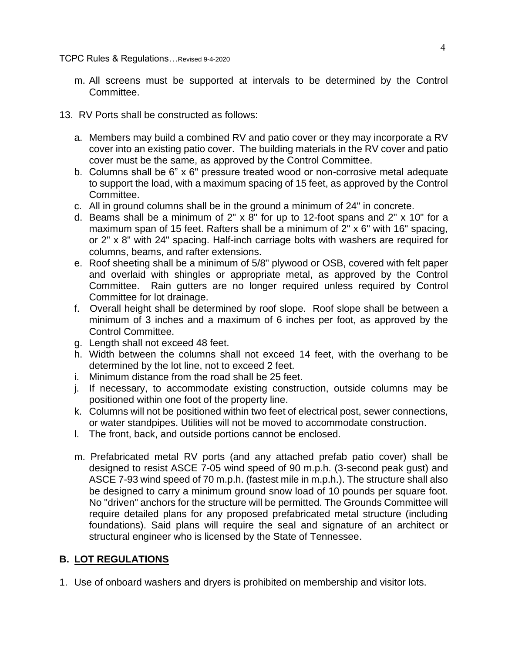- m. All screens must be supported at intervals to be determined by the Control Committee.
- 13. RV Ports shall be constructed as follows:
	- a. Members may build a combined RV and patio cover or they may incorporate a RV cover into an existing patio cover. The building materials in the RV cover and patio cover must be the same, as approved by the Control Committee.
	- b. Columns shall be 6" x 6" pressure treated wood or non-corrosive metal adequate to support the load, with a maximum spacing of 15 feet, as approved by the Control Committee.
	- c. All in ground columns shall be in the ground a minimum of 24" in concrete.
	- d. Beams shall be a minimum of 2" x 8" for up to 12-foot spans and 2" x 10" for a maximum span of 15 feet. Rafters shall be a minimum of 2" x 6" with 16" spacing, or 2" x 8" with 24" spacing. Half-inch carriage bolts with washers are required for columns, beams, and rafter extensions.
	- e. Roof sheeting shall be a minimum of 5/8" plywood or OSB, covered with felt paper and overlaid with shingles or appropriate metal, as approved by the Control Committee. Rain gutters are no longer required unless required by Control Committee for lot drainage.
	- f. Overall height shall be determined by roof slope. Roof slope shall be between a minimum of 3 inches and a maximum of 6 inches per foot, as approved by the Control Committee.
	- g. Length shall not exceed 48 feet.
	- h. Width between the columns shall not exceed 14 feet, with the overhang to be determined by the lot line, not to exceed 2 feet.
	- i. Minimum distance from the road shall be 25 feet.
	- j. If necessary, to accommodate existing construction, outside columns may be positioned within one foot of the property line.
	- k. Columns will not be positioned within two feet of electrical post, sewer connections, or water standpipes. Utilities will not be moved to accommodate construction.
	- l. The front, back, and outside portions cannot be enclosed.
	- m. Prefabricated metal RV ports (and any attached prefab patio cover) shall be designed to resist ASCE 7-05 wind speed of 90 m.p.h. (3-second peak gust) and ASCE 7-93 wind speed of 70 m.p.h. (fastest mile in m.p.h.). The structure shall also be designed to carry a minimum ground snow load of 10 pounds per square foot. No "driven" anchors for the structure will be permitted. The Grounds Committee will require detailed plans for any proposed prefabricated metal structure (including foundations). Said plans will require the seal and signature of an architect or structural engineer who is licensed by the State of Tennessee.

## **B. LOT REGULATIONS**

1. Use of onboard washers and dryers is prohibited on membership and visitor lots.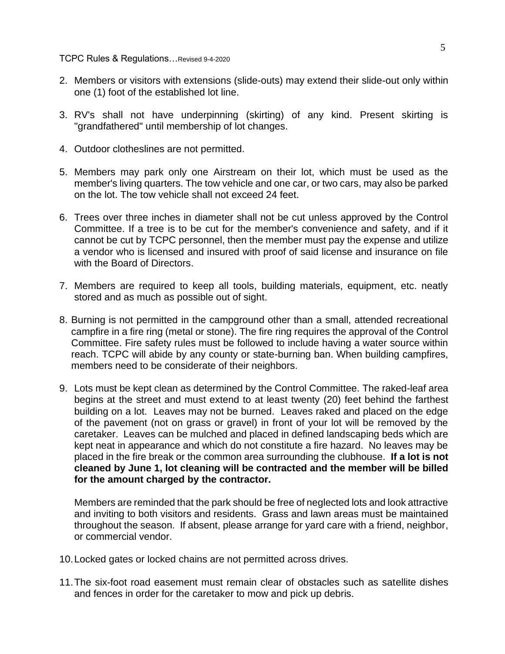- 2. Members or visitors with extensions (slide-outs) may extend their slide-out only within one (1) foot of the established lot line.
- 3. RV's shall not have underpinning (skirting) of any kind. Present skirting is "grandfathered" until membership of lot changes.
- 4. Outdoor clotheslines are not permitted.
- 5. Members may park only one Airstream on their lot, which must be used as the member's living quarters. The tow vehicle and one car, or two cars, may also be parked on the lot. The tow vehicle shall not exceed 24 feet.
- 6. Trees over three inches in diameter shall not be cut unless approved by the Control Committee. If a tree is to be cut for the member's convenience and safety, and if it cannot be cut by TCPC personnel, then the member must pay the expense and utilize a vendor who is licensed and insured with proof of said license and insurance on file with the Board of Directors.
- 7. Members are required to keep all tools, building materials, equipment, etc. neatly stored and as much as possible out of sight.
- 8. Burning is not permitted in the campground other than a small, attended recreational campfire in a fire ring (metal or stone). The fire ring requires the approval of the Control Committee. Fire safety rules must be followed to include having a water source within reach. TCPC will abide by any county or state-burning ban. When building campfires, members need to be considerate of their neighbors.
- 9. Lots must be kept clean as determined by the Control Committee. The raked-leaf area begins at the street and must extend to at least twenty (20) feet behind the farthest building on a lot. Leaves may not be burned. Leaves raked and placed on the edge of the pavement (not on grass or gravel) in front of your lot will be removed by the caretaker. Leaves can be mulched and placed in defined landscaping beds which are kept neat in appearance and which do not constitute a fire hazard. No leaves may be placed in the fire break or the common area surrounding the clubhouse. **If a lot is not cleaned by June 1, lot cleaning will be contracted and the member will be billed for the amount charged by the contractor.**

Members are reminded that the park should be free of neglected lots and look attractive and inviting to both visitors and residents. Grass and lawn areas must be maintained throughout the season. If absent, please arrange for yard care with a friend, neighbor, or commercial vendor.

- 10.Locked gates or locked chains are not permitted across drives.
- 11.The six-foot road easement must remain clear of obstacles such as satellite dishes and fences in order for the caretaker to mow and pick up debris.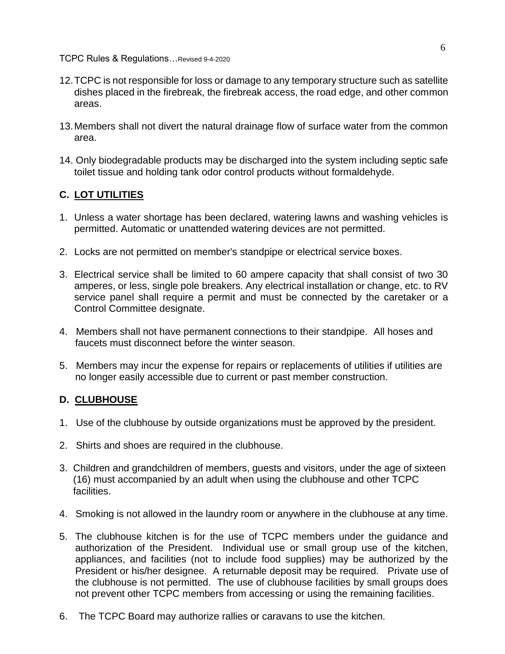TCPC Rules & Regulations…Revised 9-4-2020

- 12.TCPC is not responsible for loss or damage to any temporary structure such as satellite dishes placed in the firebreak, the firebreak access, the road edge, and other common areas.
- 13.Members shall not divert the natural drainage flow of surface water from the common area.
- 14. Only biodegradable products may be discharged into the system including septic safe toilet tissue and holding tank odor control products without formaldehyde.

# **C. LOT UTILITIES**

- 1. Unless a water shortage has been declared, watering lawns and washing vehicles is permitted. Automatic or unattended watering devices are not permitted.
- 2. Locks are not permitted on member's standpipe or electrical service boxes.
- 3. Electrical service shall be limited to 60 ampere capacity that shall consist of two 30 amperes, or less, single pole breakers. Any electrical installation or change, etc. to RV service panel shall require a permit and must be connected by the caretaker or a Control Committee designate.
- 4. Members shall not have permanent connections to their standpipe. All hoses and faucets must disconnect before the winter season.
- 5. Members may incur the expense for repairs or replacements of utilities if utilities are no longer easily accessible due to current or past member construction.

# **D. CLUBHOUSE**

- 1. Use of the clubhouse by outside organizations must be approved by the president.
- 2. Shirts and shoes are required in the clubhouse.
- 3. Children and grandchildren of members, guests and visitors, under the age of sixteen (16) must accompanied by an adult when using the clubhouse and other TCPC facilities.
- 4. Smoking is not allowed in the laundry room or anywhere in the clubhouse at any time.
- 5. The clubhouse kitchen is for the use of TCPC members under the guidance and authorization of the President. Individual use or small group use of the kitchen, appliances, and facilities (not to include food supplies) may be authorized by the President or his/her designee. A returnable deposit may be required. Private use of the clubhouse is not permitted. The use of clubhouse facilities by small groups does not prevent other TCPC members from accessing or using the remaining facilities.
- 6. The TCPC Board may authorize rallies or caravans to use the kitchen.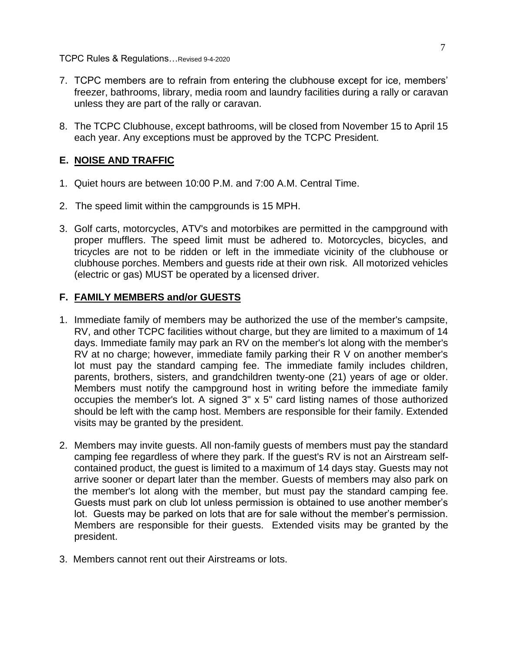TCPC Rules & Regulations…Revised 9-4-2020

- 7. TCPC members are to refrain from entering the clubhouse except for ice, members' freezer, bathrooms, library, media room and laundry facilities during a rally or caravan unless they are part of the rally or caravan.
- 8. The TCPC Clubhouse, except bathrooms, will be closed from November 15 to April 15 each year. Any exceptions must be approved by the TCPC President.

## **E. NOISE AND TRAFFIC**

- 1. Quiet hours are between 10:00 P.M. and 7:00 A.M. Central Time.
- 2. The speed limit within the campgrounds is 15 MPH.
- 3. Golf carts, motorcycles, ATV's and motorbikes are permitted in the campground with proper mufflers. The speed limit must be adhered to. Motorcycles, bicycles, and tricycles are not to be ridden or left in the immediate vicinity of the clubhouse or clubhouse porches. Members and guests ride at their own risk. All motorized vehicles (electric or gas) MUST be operated by a licensed driver.

### **F. FAMILY MEMBERS and/or GUESTS**

- 1. Immediate family of members may be authorized the use of the member's campsite, RV, and other TCPC facilities without charge, but they are limited to a maximum of 14 days. Immediate family may park an RV on the member's lot along with the member's RV at no charge; however, immediate family parking their R V on another member's lot must pay the standard camping fee. The immediate family includes children, parents, brothers, sisters, and grandchildren twenty-one (21) years of age or older. Members must notify the campground host in writing before the immediate family occupies the member's lot. A signed 3" x 5" card listing names of those authorized should be left with the camp host. Members are responsible for their family. Extended visits may be granted by the president.
- 2. Members may invite guests. All non-family guests of members must pay the standard camping fee regardless of where they park. If the guest's RV is not an Airstream selfcontained product, the guest is limited to a maximum of 14 days stay. Guests may not arrive sooner or depart later than the member. Guests of members may also park on the member's lot along with the member, but must pay the standard camping fee. Guests must park on club lot unless permission is obtained to use another member's lot. Guests may be parked on lots that are for sale without the member's permission. Members are responsible for their guests. Extended visits may be granted by the president.
- 3. Members cannot rent out their Airstreams or lots.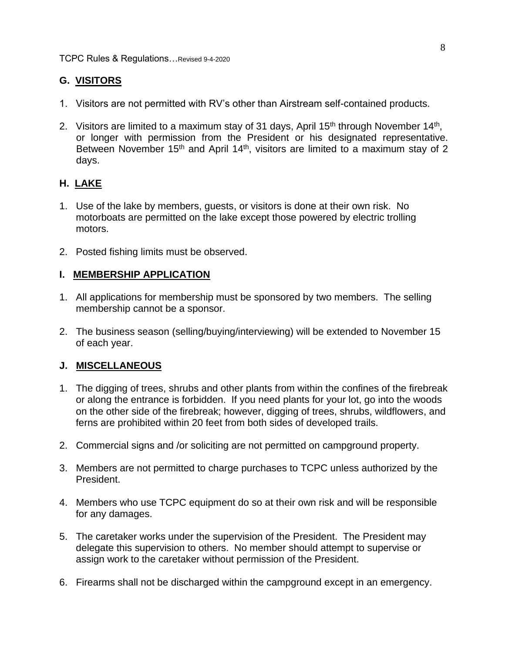# **G. VISITORS**

- 1. Visitors are not permitted with RV's other than Airstream self-contained products.
- 2. Visitors are limited to a maximum stay of 31 days, April 15<sup>th</sup> through November 14<sup>th</sup>, or longer with permission from the President or his designated representative. Between November 15<sup>th</sup> and April 14<sup>th</sup>, visitors are limited to a maximum stay of 2 days.

## **H. LAKE**

- 1. Use of the lake by members, guests, or visitors is done at their own risk. No motorboats are permitted on the lake except those powered by electric trolling motors.
- 2. Posted fishing limits must be observed.

## **I. MEMBERSHIP APPLICATION**

- 1. All applications for membership must be sponsored by two members. The selling membership cannot be a sponsor.
- 2. The business season (selling/buying/interviewing) will be extended to November 15 of each year.

### **J. MISCELLANEOUS**

- 1. The digging of trees, shrubs and other plants from within the confines of the firebreak or along the entrance is forbidden. If you need plants for your lot, go into the woods on the other side of the firebreak; however, digging of trees, shrubs, wildflowers, and ferns are prohibited within 20 feet from both sides of developed trails.
- 2. Commercial signs and /or soliciting are not permitted on campground property.
- 3. Members are not permitted to charge purchases to TCPC unless authorized by the President.
- 4. Members who use TCPC equipment do so at their own risk and will be responsible for any damages.
- 5. The caretaker works under the supervision of the President. The President may delegate this supervision to others. No member should attempt to supervise or assign work to the caretaker without permission of the President.
- 6. Firearms shall not be discharged within the campground except in an emergency.